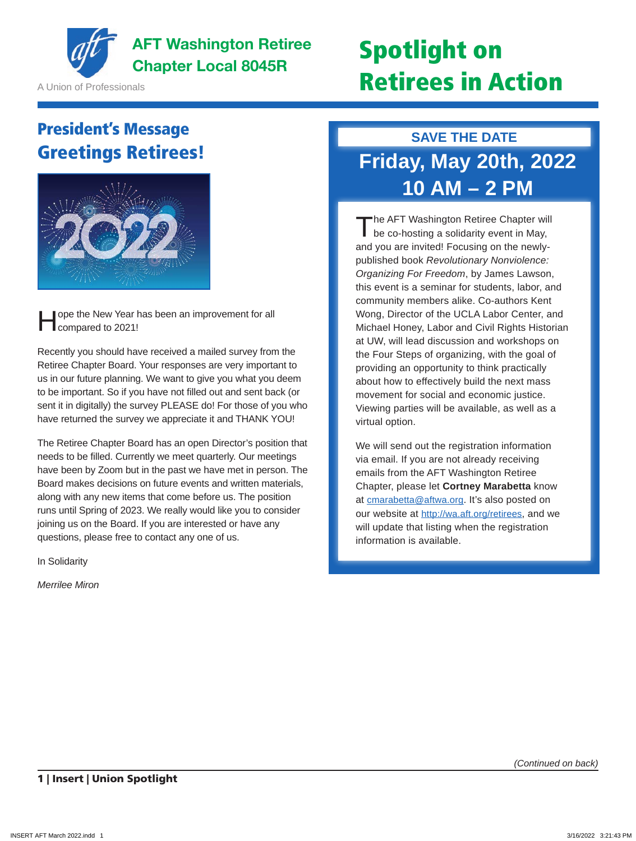

**AFT Washington Retiree** AFT Washington Retiree **Spotlight on**<br>Chapter Local 8045R

A Union of Professionals

# Retirees in Action

### President's Message Greetings Retirees!



ope the New Year has been an improvement for all compared to 2021!

Recently you should have received a mailed survey from the Retiree Chapter Board. Your responses are very important to us in our future planning. We want to give you what you deem to be important. So if you have not filled out and sent back (or sent it in digitally) the survey PLEASE do! For those of you who have returned the survey we appreciate it and THANK YOU!

The Retiree Chapter Board has an open Director's position that needs to be filled. Currently we meet quarterly. Our meetings have been by Zoom but in the past we have met in person. The Board makes decisions on future events and written materials, along with any new items that come before us. The position runs until Spring of 2023. We really would like you to consider joining us on the Board. If you are interested or have any questions, please free to contact any one of us.

In Solidarity

*Merrilee Miron*

#### **SAVE THE DATE**

# **Friday, May 20th, 2022 10 AM – 2 PM**

The AFT Washington Retiree Chapter will<br>be co-hosting a solidarity event in May, and you are invited! Focusing on the newlypublished book *Revolutionary Nonviolence: Organizing For Freedom*, by James Lawson, this event is a seminar for students, labor, and community members alike. Co-authors Kent Wong, Director of the UCLA Labor Center, and Michael Honey, Labor and Civil Rights Historian at UW, will lead discussion and workshops on the Four Steps of organizing, with the goal of providing an opportunity to think practically about how to effectively build the next mass movement for social and economic justice. Viewing parties will be available, as well as a virtual option.

We will send out the registration information via email. If you are not already receiving emails from the AFT Washington Retiree Chapter, please let **Cortney Marabetta** know at cmarabetta@aftwa.org. It's also posted on our website at http://wa.aft.org/retirees, and we will update that listing when the registration information is available.

*(Continued on back)*